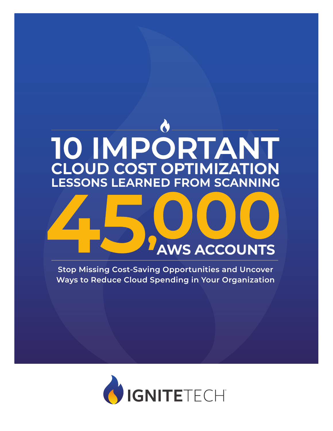# **45, CLOUD COST OPTIMIZATION 10 IMPORTANT LESSONS LEARNED FROM SCANNING 000 AWS ACCOUNTS**

**Stop Missing Cost-Saving Opportunities and Uncover Ways to Reduce Cloud Spending in Your Organization**

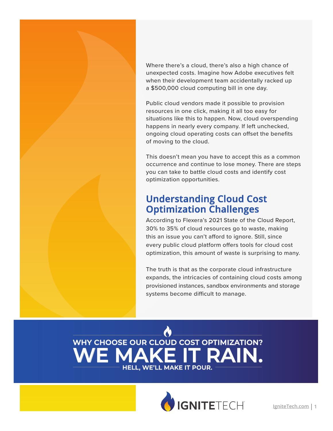Where there's a cloud, there's also a high chance of unexpected costs. Imagine how Adobe executives felt when their development team accidentally racked up a \$500,000 cloud computing bill in one day.

Public cloud vendors made it possible to provision resources in one click, making it all too easy for situations like this to happen. Now, cloud overspending happens in nearly every company. If left unchecked, ongoing cloud operating costs can offset the benefits of moving to the cloud.

This doesn't mean you have to accept this as a common occurrence and continue to lose money. There are steps you can take to battle cloud costs and identify cost optimization opportunities.

## **Understanding Cloud Cost Optimization Challenges**

According to Flexera's 2021 State of the Cloud Report, 30% to 35% of cloud resources go to waste, making this an issue you can't afford to ignore. Still, since every public cloud platform offers tools for cloud cost optimization, this amount of waste is surprising to many.

The truth is that as the corporate cloud infrastructure expands, the intricacies of containing cloud costs among provisioned instances, sandbox environments and storage systems become difficult to manage.



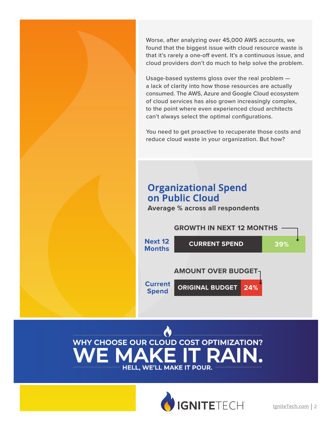Worse, after analyzing over 45,000 AWS accounts, we found that the biggest issue with cloud resource waste is that it's rarely a one-off event. It's a continuous issue, and cloud providers don't do much to help solve the problem.

Usage-based systems gloss over the real problem a lack of clarity into how those resources are actually consumed. The AWS, Azure and Google Cloud ecosystem of cloud services has also grown increasingly complex, to the point where even experienced cloud architects can't always select the optimal configurations.

You need to get proactive to recuperate those costs and reduce cloud waste in your organization. But how?

## **Organizational Spend on Public Cloud**

**Average % across all respondents**





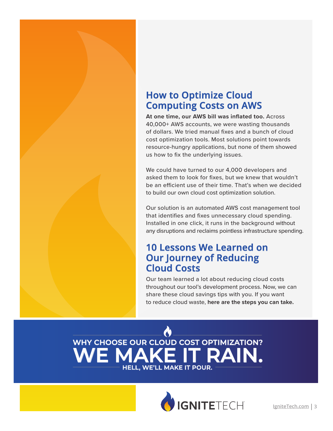## **How to Optimize Cloud Computing Costs on AWS**

**At one time, our AWS bill was inflated too.** Across 40,000+ AWS accounts, we were wasting thousands of dollars. We tried manual fixes and a bunch of cloud cost optimization tools. Most solutions point towards resource-hungry applications, but none of them showed us how to fix the underlying issues.

We could have turned to our 4,000 developers and asked them to look for fixes, but we knew that wouldn't be an efficient use of their time. That's when we decided to build our own cloud cost optimization solution.

Our solution is an automated AWS cost management tool that identifies and fixes unnecessary cloud spending. Installed in one click, it runs in the background without any disruptions and reclaims pointless infrastructure spending.

## **10 Lessons We Learned on Our Journey of Reducing Cloud Costs**

Our team learned a lot about reducing cloud costs throughout our tool's development process. Now, we can share these cloud savings tips with you. If you want to reduce cloud waste, **here are the steps you can take.**



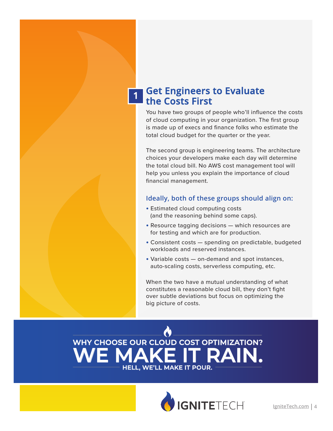#### **Get Engineers to Evaluate the Costs First 1**

You have two groups of people who'll influence the costs of cloud computing in your organization. The first group is made up of execs and finance folks who estimate the total cloud budget for the quarter or the year.

The second group is engineering teams. The architecture choices your developers make each day will determine the total cloud bill. No AWS cost management tool will help you unless you explain the importance of cloud financial management.

#### **Ideally, both of these groups should align on:**

- **•** Estimated cloud computing costs (and the reasoning behind some caps).
- **•** Resource tagging decisions which resources are for testing and which are for production.
- **•** Consistent costs spending on predictable, budgeted workloads and reserved instances.
- **•** Variable costs on-demand and spot instances, auto-scaling costs, serverless computing, etc.

When the two have a mutual understanding of what constitutes a reasonable cloud bill, they don't fight over subtle deviations but focus on optimizing the big picture of costs.



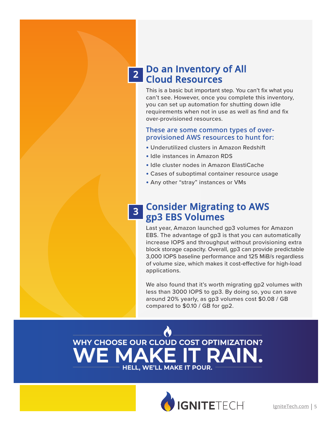#### **Do an Inventory of All Cloud Resources 2**

This is a basic but important step. You can't fix what you can't see. However, once you complete this inventory, you can set up automation for shutting down idle requirements when not in use as well as find and fix over-provisioned resources.

#### **These are some common types of overprovisioned AWS resources to hunt for:**

- **•** Underutilized clusters in Amazon Redshift
- **•** Idle instances in Amazon RDS
- **•** Idle cluster nodes in Amazon ElastiCache
- **•** Cases of suboptimal container resource usage
- **•** Any other "stray" instances or VMs

#### **Consider Migrating to AWS gp3 EBS Volumes 3**

Last year, Amazon launched gp3 volumes for Amazon EBS. The advantage of gp3 is that you can automatically increase IOPS and throughput without provisioning extra block storage capacity. Overall, gp3 can provide predictable 3,000 IOPS baseline performance and 125 MiB/s regardless of volume size, which makes it cost-effective for high-load applications.

We also found that it's worth migrating gp2 volumes with less than 3000 IOPS to gp3. By doing so, you can save around 20% yearly, as gp3 volumes cost \$0.08 / GB compared to \$0.10 / GB for gp2.

## **WE MAKE IT RAIN. WHY CHOOSE OUR CLOUD COST OPTIMIZATION? HELL, WE'LL MAKE IT POUR.**

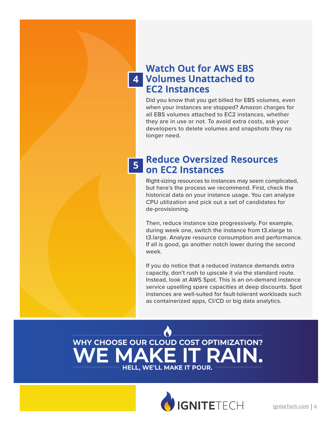## **Watch Out for AWS EBS Volumes Unattached to 4 EC2 Instances**

Did you know that you get billed for EBS volumes, even when your instances are stopped? Amazon charges for all EBS volumes attached to EC2 instances, whether they are in use or not. To avoid extra costs, ask your developers to delete volumes and snapshots they no longer need.

#### **Reduce Oversized Resources on EC2 Instances 5**

Right-sizing resources to instances may seem complicated, but here's the process we recommend. First, check the historical data on your instance usage. You can analyze CPU utilization and pick out a set of candidates for de-provisioning.

Then, reduce instance size progressively. For example, during week one, switch the instance from t3.xlarge to t3.large. Analyze resource consumption and performance. If all is good, go another notch lower during the second week.

If you do notice that a reduced instance demands extra capacity, don't rush to upscale it via the standard route. Instead, look at AWS Spot. This is an on-demand instance service upselling spare capacities at deep discounts. Spot instances are well-suited for fault-tolerant workloads such as containerized apps, CI/CD or big data analytics.

## **RAIN. WHY CHOOSE OUR CLOUD COST OPTIMIZATION? HELL, WE'LL MAKE IT POUR.**

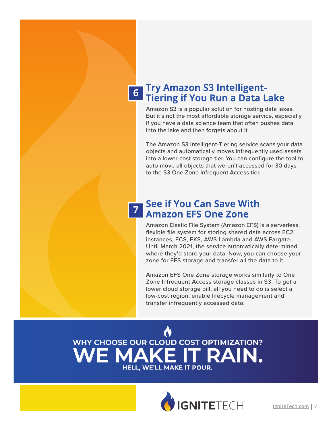#### **Try Amazon S3 Intelligent-Tiering if You Run a Data Lake 6**

Amazon S3 is a popular solution for hosting data lakes. But it's not the most affordable storage service, especially if you have a data science team that often pushes data into the lake and then forgets about it.

The Amazon S3 Intelligent-Tiering service scans your data objects and automatically moves infrequently used assets into a lower-cost storage tier. You can configure the tool to auto-move all objects that weren't accessed for 30 days to the S3 One Zone Infrequent Access tier.

### **<sup>7</sup> See if You Can Save With Amazon EFS One Zone**

Amazon Elastic File System (Amazon EFS) is a serverless, flexible file system for storing shared data across EC2 instances, ECS, EKS, AWS Lambda and AWS Fargate. Until March 2021, the service automatically determined where they'd store your data. Now, you can choose your zone for EFS storage and transfer all the data to it.

Amazon EFS One Zone storage works similarly to One Zone Infrequent Access storage classes in S3. To get a lower cloud storage bill, all you need to do is select a low-cost region, enable lifecycle management and transfer infrequently accessed data.



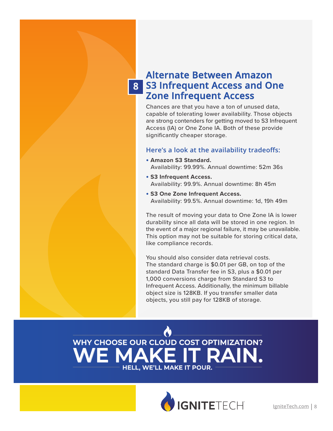### **8 S3 Infrequent Access and One Alternate Between Amazon Zone Infrequent Access**

Chances are that you have a ton of unused data, capable of tolerating lower availability. Those objects are strong contenders for getting moved to S3 Infrequent Access (IA) or One Zone IA. Both of these provide significantly cheaper storage.

#### **Here's a look at the availability tradeoffs:**

- **• Amazon S3 Standard.**  Availability: 99.99%. Annual downtime: 52m 36s
- **• S3 Infrequent Access.** Availability: 99.9%. Annual downtime: 8h 45m
- **• S3 One Zone Infrequent Access.**  Availability: 99.5%. Annual downtime: 1d, 19h 49m

The result of moving your data to One Zone IA is lower durability since all data will be stored in one region. In the event of a major regional failure, it may be unavailable. This option may not be suitable for storing critical data, like compliance records.

You should also consider data retrieval costs. The standard charge is \$0.01 per GB, on top of the standard Data Transfer fee in S3, plus a \$0.01 per 1,000 conversions charge from Standard S3 to Infrequent Access. Additionally, the minimum billable object size is 128KB. If you transfer smaller data objects, you still pay for 128KB of storage.

## **RAIN WHY CHOOSE OUR CLOUD COST OPTIMIZATION? HELL, WE'LL MAKE IT POUR.**

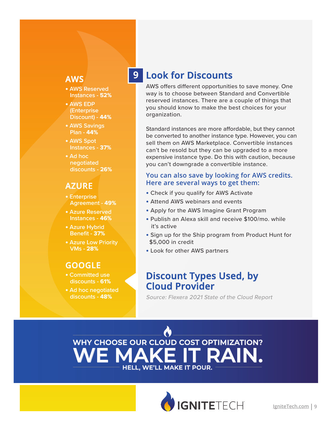#### **9 AWS**

- **•** AWS Reserved Instances - **52%**
- **•** AWS EDP (Enterprise Discount) - **44%**
- **•** AWS Savings Plan - **44%**
- **•** AWS Spot Instances - **37%**
- **•** Ad hoc negotiated discounts - **26%**

#### **AZURE**

- **•** Enterprise Agreement - **49%**
- **•** Azure Reserved Instances - **46%**
- **•** Azure Hybrid Benefit - **37%**
- **•** Azure Low Priority VMs - **28%**

#### **GOOGLE**

- **•** Committed use discounts - **61%**
- **•** Ad hoc negotiated discounts - **48%**

## **Look for Discounts**

AWS offers different opportunities to save money. One way is to choose between Standard and Convertible reserved instances. There are a couple of things that you should know to make the best choices for your organization.

Standard instances are more affordable, but they cannot be converted to another instance type. However, you can sell them on AWS Marketplace. Convertible instances can't be resold but they can be upgraded to a more expensive instance type. Do this with caution, because you can't downgrade a convertible instance.

#### **You can also save by looking for AWS credits. Here are several ways to get them:**

- **•** Check if you qualify for AWS Activate
- **•** Attend AWS webinars and events
- **•** Apply for the AWS Imagine Grant Program
- **•** Publish an Alexa skill and receive \$100/mo. while it's active
- **•** Sign up for the Ship program from Product Hunt for \$5,000 in credit
- **•** Look for other AWS partners

### **Discount Types Used, by Cloud Provider**

Source: Flexera 2021 State of the Cloud Report



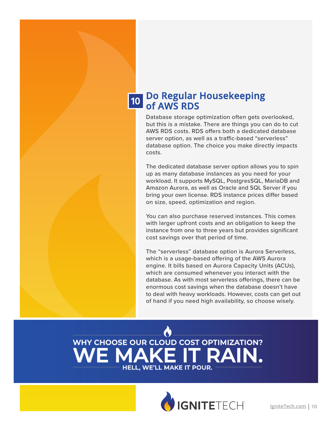#### **Do Regular Housekeeping of AWS RDS 10**

Database storage optimization often gets overlooked, but this is a mistake. There are things you can do to cut AWS RDS costs. RDS offers both a dedicated database server option, as well as a traffic-based "serverless" database option. The choice you make directly impacts costs.

The dedicated database server option allows you to spin up as many database instances as you need for your workload. It supports MySQL, PostgresSQL, MariaDB and Amazon Aurora, as well as Oracle and SQL Server if you bring your own license. RDS instance prices differ based on size, speed, optimization and region.

You can also purchase reserved instances. This comes with larger upfront costs and an obligation to keep the instance from one to three years but provides significant cost savings over that period of time.

The "serverless" database option is Aurora Serverless, which is a usage-based offering of the AWS Aurora engine. It bills based on Aurora Capacity Units (ACUs), which are consumed whenever you interact with the database. As with most serverless offerings, there can be enormous cost savings when the database doesn't have to deal with heavy workloads. However, costs can get out of hand if you need high availability, so choose wisely.

## **WE MAKE IT RAIN. WHY CHOOSE OUR CLOUD COST OPTIMIZATION? HELL, WE'LL MAKE IT POUR.**